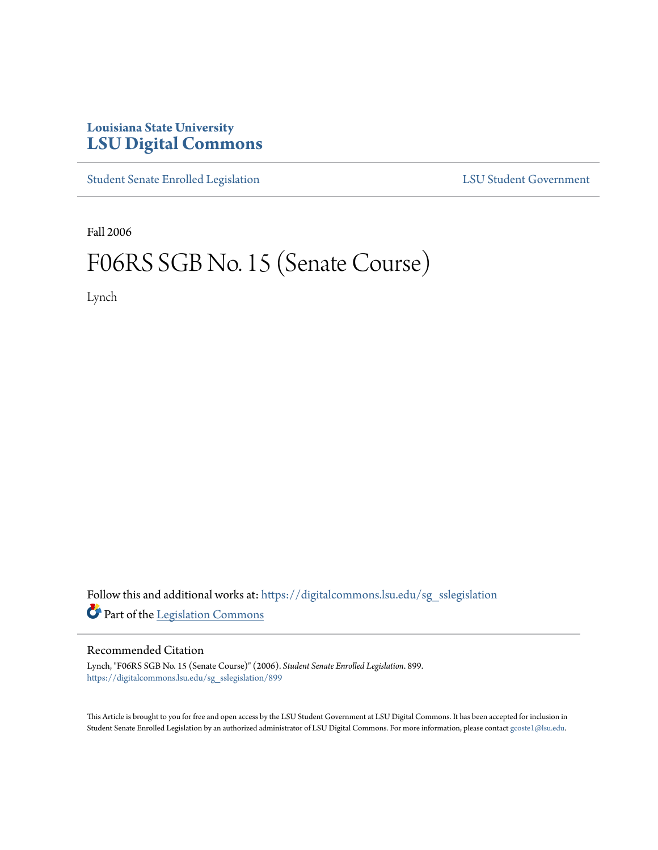## **Louisiana State University [LSU Digital Commons](https://digitalcommons.lsu.edu?utm_source=digitalcommons.lsu.edu%2Fsg_sslegislation%2F899&utm_medium=PDF&utm_campaign=PDFCoverPages)**

[Student Senate Enrolled Legislation](https://digitalcommons.lsu.edu/sg_sslegislation?utm_source=digitalcommons.lsu.edu%2Fsg_sslegislation%2F899&utm_medium=PDF&utm_campaign=PDFCoverPages) [LSU Student Government](https://digitalcommons.lsu.edu/sg?utm_source=digitalcommons.lsu.edu%2Fsg_sslegislation%2F899&utm_medium=PDF&utm_campaign=PDFCoverPages)

Fall 2006

## F06RS SGB No. 15 (Senate Course)

Lynch

Follow this and additional works at: [https://digitalcommons.lsu.edu/sg\\_sslegislation](https://digitalcommons.lsu.edu/sg_sslegislation?utm_source=digitalcommons.lsu.edu%2Fsg_sslegislation%2F899&utm_medium=PDF&utm_campaign=PDFCoverPages) Part of the [Legislation Commons](http://network.bepress.com/hgg/discipline/859?utm_source=digitalcommons.lsu.edu%2Fsg_sslegislation%2F899&utm_medium=PDF&utm_campaign=PDFCoverPages)

## Recommended Citation

Lynch, "F06RS SGB No. 15 (Senate Course)" (2006). *Student Senate Enrolled Legislation*. 899. [https://digitalcommons.lsu.edu/sg\\_sslegislation/899](https://digitalcommons.lsu.edu/sg_sslegislation/899?utm_source=digitalcommons.lsu.edu%2Fsg_sslegislation%2F899&utm_medium=PDF&utm_campaign=PDFCoverPages)

This Article is brought to you for free and open access by the LSU Student Government at LSU Digital Commons. It has been accepted for inclusion in Student Senate Enrolled Legislation by an authorized administrator of LSU Digital Commons. For more information, please contact [gcoste1@lsu.edu.](mailto:gcoste1@lsu.edu)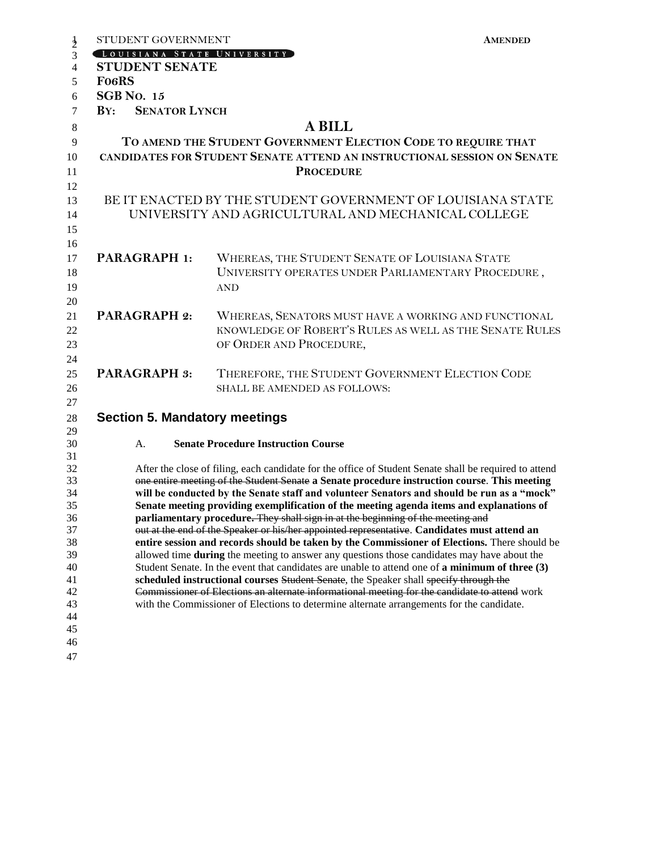|                | STUDENT GOVERNMENT                                                                                                                                                                                     |                                                                                           | <b>AMENDED</b> |  |  |
|----------------|--------------------------------------------------------------------------------------------------------------------------------------------------------------------------------------------------------|-------------------------------------------------------------------------------------------|----------------|--|--|
| $\frac{1}{2}$  | LOUISIANA STATE UNIVERSITY                                                                                                                                                                             |                                                                                           |                |  |  |
| $\overline{4}$ | <b>STUDENT SENATE</b>                                                                                                                                                                                  |                                                                                           |                |  |  |
| 5              | Fo <sub>6</sub> RS                                                                                                                                                                                     |                                                                                           |                |  |  |
| 6              | <b>SGB</b> No. 15                                                                                                                                                                                      |                                                                                           |                |  |  |
| 7              | <b>SENATOR LYNCH</b><br>$\mathbf{B} \mathbf{Y}$ :                                                                                                                                                      |                                                                                           |                |  |  |
|                | <b>A BILL</b>                                                                                                                                                                                          |                                                                                           |                |  |  |
| $\,8\,$        |                                                                                                                                                                                                        |                                                                                           |                |  |  |
| 9              | TO AMEND THE STUDENT GOVERNMENT ELECTION CODE TO REQUIRE THAT                                                                                                                                          |                                                                                           |                |  |  |
| 10             | CANDIDATES FOR STUDENT SENATE ATTEND AN INSTRUCTIONAL SESSION ON SENATE                                                                                                                                |                                                                                           |                |  |  |
| 11             |                                                                                                                                                                                                        | <b>PROCEDURE</b>                                                                          |                |  |  |
| 12             |                                                                                                                                                                                                        |                                                                                           |                |  |  |
| 13             | BE IT ENACTED BY THE STUDENT GOVERNMENT OF LOUISIANA STATE                                                                                                                                             |                                                                                           |                |  |  |
| 14             | UNIVERSITY AND AGRICULTURAL AND MECHANICAL COLLEGE                                                                                                                                                     |                                                                                           |                |  |  |
| 15             |                                                                                                                                                                                                        |                                                                                           |                |  |  |
| 16             |                                                                                                                                                                                                        |                                                                                           |                |  |  |
| 17             | <b>PARAGRAPH 1:</b>                                                                                                                                                                                    | WHEREAS, THE STUDENT SENATE OF LOUISIANA STATE                                            |                |  |  |
| 18             |                                                                                                                                                                                                        | UNIVERSITY OPERATES UNDER PARLIAMENTARY PROCEDURE,                                        |                |  |  |
| 19             |                                                                                                                                                                                                        | <b>AND</b>                                                                                |                |  |  |
| 20             |                                                                                                                                                                                                        |                                                                                           |                |  |  |
| 21             | <b>PARAGRAPH 2:</b>                                                                                                                                                                                    | WHEREAS, SENATORS MUST HAVE A WORKING AND FUNCTIONAL                                      |                |  |  |
| 22             |                                                                                                                                                                                                        | KNOWLEDGE OF ROBERT'S RULES AS WELL AS THE SENATE RULES                                   |                |  |  |
| 23             |                                                                                                                                                                                                        | OF ORDER AND PROCEDURE,                                                                   |                |  |  |
| 24             |                                                                                                                                                                                                        |                                                                                           |                |  |  |
| 25             | <b>PARAGRAPH 3:</b>                                                                                                                                                                                    | THEREFORE, THE STUDENT GOVERNMENT ELECTION CODE                                           |                |  |  |
| 26             |                                                                                                                                                                                                        | SHALL BE AMENDED AS FOLLOWS:                                                              |                |  |  |
|                |                                                                                                                                                                                                        |                                                                                           |                |  |  |
| 27             |                                                                                                                                                                                                        |                                                                                           |                |  |  |
| 28             | <b>Section 5. Mandatory meetings</b>                                                                                                                                                                   |                                                                                           |                |  |  |
| 29<br>30       | А.                                                                                                                                                                                                     | <b>Senate Procedure Instruction Course</b>                                                |                |  |  |
| 31             |                                                                                                                                                                                                        |                                                                                           |                |  |  |
| 32             |                                                                                                                                                                                                        |                                                                                           |                |  |  |
| 33             | After the close of filing, each candidate for the office of Student Senate shall be required to attend<br>one entire meeting of the Student Senate a Senate procedure instruction course. This meeting |                                                                                           |                |  |  |
| 34             | will be conducted by the Senate staff and volunteer Senators and should be run as a "mock"                                                                                                             |                                                                                           |                |  |  |
| 35             | Senate meeting providing exemplification of the meeting agenda items and explanations of                                                                                                               |                                                                                           |                |  |  |
| 36             | parliamentary procedure. They shall sign in at the beginning of the meeting and                                                                                                                        |                                                                                           |                |  |  |
| 37             | out at the end of the Speaker or his/her appointed representative. Candidates must attend an                                                                                                           |                                                                                           |                |  |  |
| 38             | entire session and records should be taken by the Commissioner of Elections. There should be                                                                                                           |                                                                                           |                |  |  |
| 39<br>40       | allowed time <b>during</b> the meeting to answer any questions those candidates may have about the<br>Student Senate. In the event that candidates are unable to attend one of a minimum of three (3)  |                                                                                           |                |  |  |
| 41             | scheduled instructional courses Student Senate, the Speaker shall specify through the                                                                                                                  |                                                                                           |                |  |  |
| 42             | Commissioner of Elections an alternate informational meeting for the candidate to attend work                                                                                                          |                                                                                           |                |  |  |
| 43             |                                                                                                                                                                                                        | with the Commissioner of Elections to determine alternate arrangements for the candidate. |                |  |  |
| 44             |                                                                                                                                                                                                        |                                                                                           |                |  |  |
| 45             |                                                                                                                                                                                                        |                                                                                           |                |  |  |
| 46             |                                                                                                                                                                                                        |                                                                                           |                |  |  |